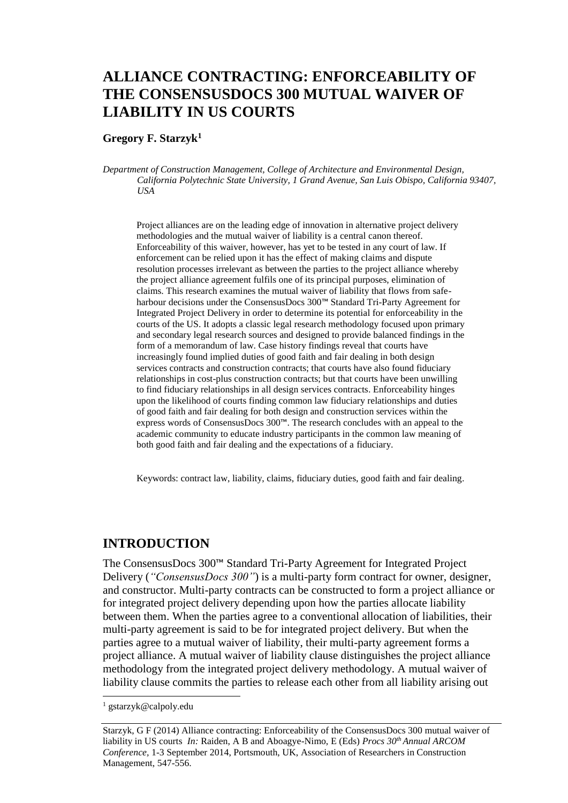# **ALLIANCE CONTRACTING: ENFORCEABILITY OF THE CONSENSUSDOCS 300 MUTUAL WAIVER OF LIABILITY IN US COURTS**

#### **Gregory F. Starzyk<sup>1</sup>**

*Department of Construction Management, College of Architecture and Environmental Design, California Polytechnic State University, 1 Grand Avenue, San Luis Obispo, California 93407, USA* 

Project alliances are on the leading edge of innovation in alternative project delivery methodologies and the mutual waiver of liability is a central canon thereof. Enforceability of this waiver, however, has yet to be tested in any court of law. If enforcement can be relied upon it has the effect of making claims and dispute resolution processes irrelevant as between the parties to the project alliance whereby the project alliance agreement fulfils one of its principal purposes, elimination of claims. This research examines the mutual waiver of liability that flows from safeharbour decisions under the ConsensusDocs 300™ Standard Tri-Party Agreement for Integrated Project Delivery in order to determine its potential for enforceability in the courts of the US. It adopts a classic legal research methodology focused upon primary and secondary legal research sources and designed to provide balanced findings in the form of a memorandum of law. Case history findings reveal that courts have increasingly found implied duties of good faith and fair dealing in both design services contracts and construction contracts; that courts have also found fiduciary relationships in cost-plus construction contracts; but that courts have been unwilling to find fiduciary relationships in all design services contracts. Enforceability hinges upon the likelihood of courts finding common law fiduciary relationships and duties of good faith and fair dealing for both design and construction services within the express words of ConsensusDocs 300™. The research concludes with an appeal to the academic community to educate industry participants in the common law meaning of both good faith and fair dealing and the expectations of a fiduciary.

Keywords: contract law, liability, claims, fiduciary duties, good faith and fair dealing.

#### **INTRODUCTION**

The ConsensusDocs 300™ Standard Tri-Party Agreement for Integrated Project Delivery (*"ConsensusDocs 300"*) is a multi-party form contract for owner, designer, and constructor. Multi-party contracts can be constructed to form a project alliance or for integrated project delivery depending upon how the parties allocate liability between them. When the parties agree to a conventional allocation of liabilities, their multi-party agreement is said to be for integrated project delivery. But when the parties agree to a mutual waiver of liability, their multi-party agreement forms a project alliance. A mutual waiver of liability clause distinguishes the project alliance methodology from the integrated project delivery methodology. A mutual waiver of liability clause commits the parties to release each other from all liability arising out

<sup>1</sup> gstarzyk@calpoly.edu

Starzyk, G F (2014) Alliance contracting: Enforceability of the ConsensusDocs 300 mutual waiver of liability in US courts *In:* Raiden, A B and Aboagye-Nimo, E (Eds) *Procs 30th Annual ARCOM Conference,* 1-3 September 2014, Portsmouth, UK, Association of Researchers in Construction Management, 547[-556.](#page-9-0)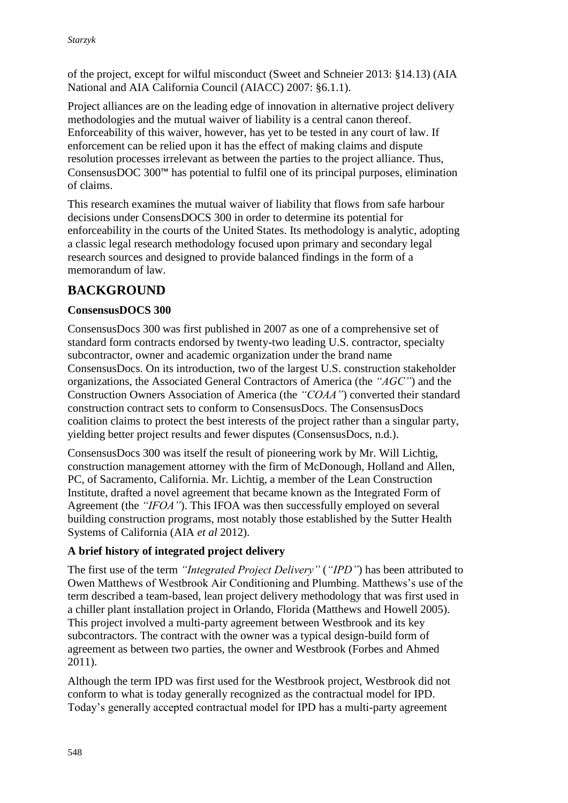of the project, except for wilful misconduct (Sweet and Schneier 2013: §14.13) (AIA National and AIA California Council (AIACC) 2007: §6.1.1).

Project alliances are on the leading edge of innovation in alternative project delivery methodologies and the mutual waiver of liability is a central canon thereof. Enforceability of this waiver, however, has yet to be tested in any court of law. If enforcement can be relied upon it has the effect of making claims and dispute resolution processes irrelevant as between the parties to the project alliance. Thus, ConsensusDOC 300™ has potential to fulfil one of its principal purposes, elimination of claims.

This research examines the mutual waiver of liability that flows from safe harbour decisions under ConsensDOCS 300 in order to determine its potential for enforceability in the courts of the United States. Its methodology is analytic, adopting a classic legal research methodology focused upon primary and secondary legal research sources and designed to provide balanced findings in the form of a memorandum of law.

# **BACKGROUND**

### **ConsensusDOCS 300**

ConsensusDocs 300 was first published in 2007 as one of a comprehensive set of standard form contracts endorsed by twenty-two leading U.S. contractor, specialty subcontractor, owner and academic organization under the brand name ConsensusDocs. On its introduction, two of the largest U.S. construction stakeholder organizations, the Associated General Contractors of America (the *"AGC"*) and the Construction Owners Association of America (the *"COAA"*) converted their standard construction contract sets to conform to ConsensusDocs. The ConsensusDocs coalition claims to protect the best interests of the project rather than a singular party, yielding better project results and fewer disputes (ConsensusDocs, n.d.).

ConsensusDocs 300 was itself the result of pioneering work by Mr. Will Lichtig, construction management attorney with the firm of McDonough, Holland and Allen, PC, of Sacramento, California. Mr. Lichtig, a member of the Lean Construction Institute, drafted a novel agreement that became known as the Integrated Form of Agreement (the *"IFOA"*). This IFOA was then successfully employed on several building construction programs, most notably those established by the Sutter Health Systems of California (AIA *et al* 2012).

### **A brief history of integrated project delivery**

The first use of the term *"Integrated Project Delivery"* (*"IPD"*) has been attributed to Owen Matthews of Westbrook Air Conditioning and Plumbing. Matthews's use of the term described a team-based, lean project delivery methodology that was first used in a chiller plant installation project in Orlando, Florida (Matthews and Howell 2005). This project involved a multi-party agreement between Westbrook and its key subcontractors. The contract with the owner was a typical design-build form of agreement as between two parties, the owner and Westbrook (Forbes and Ahmed 2011).

Although the term IPD was first used for the Westbrook project, Westbrook did not conform to what is today generally recognized as the contractual model for IPD. Today's generally accepted contractual model for IPD has a multi-party agreement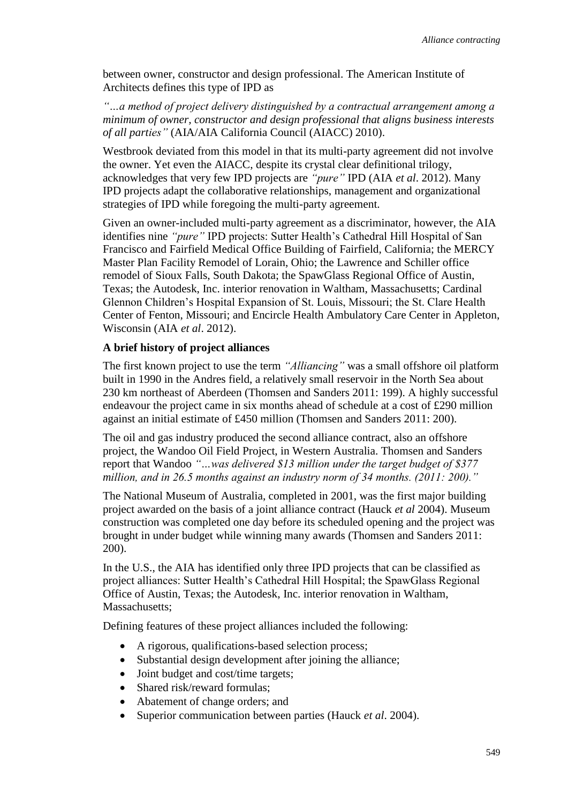between owner, constructor and design professional. The American Institute of Architects defines this type of IPD as

*"…a method of project delivery distinguished by a contractual arrangement among a minimum of owner, constructor and design professional that aligns business interests of all parties"* (AIA/AIA California Council (AIACC) 2010).

Westbrook deviated from this model in that its multi-party agreement did not involve the owner. Yet even the AIACC, despite its crystal clear definitional trilogy, acknowledges that very few IPD projects are *"pure"* IPD (AIA *et al*. 2012). Many IPD projects adapt the collaborative relationships, management and organizational strategies of IPD while foregoing the multi-party agreement.

Given an owner-included multi-party agreement as a discriminator, however, the AIA identifies nine *"pure"* IPD projects: Sutter Health's Cathedral Hill Hospital of San Francisco and Fairfield Medical Office Building of Fairfield, California; the MERCY Master Plan Facility Remodel of Lorain, Ohio; the Lawrence and Schiller office remodel of Sioux Falls, South Dakota; the SpawGlass Regional Office of Austin, Texas; the Autodesk, Inc. interior renovation in Waltham, Massachusetts; Cardinal Glennon Children's Hospital Expansion of St. Louis, Missouri; the St. Clare Health Center of Fenton, Missouri; and Encircle Health Ambulatory Care Center in Appleton, Wisconsin (AIA *et al*. 2012).

#### **A brief history of project alliances**

The first known project to use the term *"Alliancing"* was a small offshore oil platform built in 1990 in the Andres field, a relatively small reservoir in the North Sea about 230 km northeast of Aberdeen (Thomsen and Sanders 2011: 199). A highly successful endeavour the project came in six months ahead of schedule at a cost of £290 million against an initial estimate of £450 million (Thomsen and Sanders 2011: 200).

The oil and gas industry produced the second alliance contract, also an offshore project, the Wandoo Oil Field Project, in Western Australia. Thomsen and Sanders report that Wandoo *"…was delivered \$13 million under the target budget of \$377 million, and in 26.5 months against an industry norm of 34 months. (2011: 200)."*

The National Museum of Australia, completed in 2001, was the first major building project awarded on the basis of a joint alliance contract (Hauck *et al* 2004). Museum construction was completed one day before its scheduled opening and the project was brought in under budget while winning many awards (Thomsen and Sanders 2011: 200).

In the U.S., the AIA has identified only three IPD projects that can be classified as project alliances: Sutter Health's Cathedral Hill Hospital; the SpawGlass Regional Office of Austin, Texas; the Autodesk, Inc. interior renovation in Waltham, Massachusetts;

Defining features of these project alliances included the following:

- A rigorous, qualifications-based selection process;
- Substantial design development after joining the alliance;
- Joint budget and cost/time targets:
- Shared risk/reward formulas:
- Abatement of change orders; and
- Superior communication between parties (Hauck *et al*. 2004).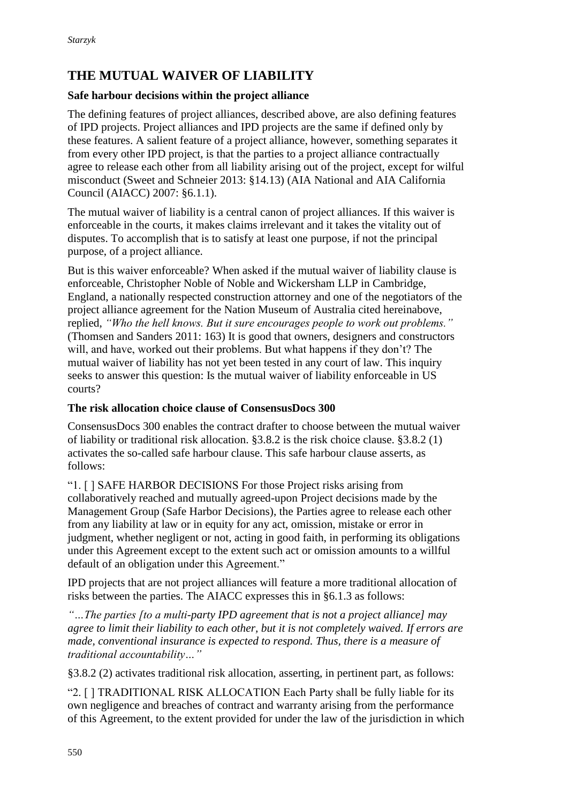# **THE MUTUAL WAIVER OF LIABILITY**

### **Safe harbour decisions within the project alliance**

The defining features of project alliances, described above, are also defining features of IPD projects. Project alliances and IPD projects are the same if defined only by these features. A salient feature of a project alliance, however, something separates it from every other IPD project, is that the parties to a project alliance contractually agree to release each other from all liability arising out of the project, except for wilful misconduct (Sweet and Schneier 2013: §14.13) (AIA National and AIA California Council (AIACC) 2007: §6.1.1).

The mutual waiver of liability is a central canon of project alliances. If this waiver is enforceable in the courts, it makes claims irrelevant and it takes the vitality out of disputes. To accomplish that is to satisfy at least one purpose, if not the principal purpose, of a project alliance.

But is this waiver enforceable? When asked if the mutual waiver of liability clause is enforceable, Christopher Noble of Noble and Wickersham LLP in Cambridge, England, a nationally respected construction attorney and one of the negotiators of the project alliance agreement for the Nation Museum of Australia cited hereinabove, replied, *"Who the hell knows. But it sure encourages people to work out problems."* (Thomsen and Sanders 2011: 163) It is good that owners, designers and constructors will, and have, worked out their problems. But what happens if they don't? The mutual waiver of liability has not yet been tested in any court of law. This inquiry seeks to answer this question: Is the mutual waiver of liability enforceable in US courts?

### **The risk allocation choice clause of ConsensusDocs 300**

ConsensusDocs 300 enables the contract drafter to choose between the mutual waiver of liability or traditional risk allocation. §3.8.2 is the risk choice clause. §3.8.2 (1) activates the so-called safe harbour clause. This safe harbour clause asserts, as follows:

"1. [ ] SAFE HARBOR DECISIONS For those Project risks arising from collaboratively reached and mutually agreed-upon Project decisions made by the Management Group (Safe Harbor Decisions), the Parties agree to release each other from any liability at law or in equity for any act, omission, mistake or error in judgment, whether negligent or not, acting in good faith, in performing its obligations under this Agreement except to the extent such act or omission amounts to a willful default of an obligation under this Agreement."

IPD projects that are not project alliances will feature a more traditional allocation of risks between the parties. The AIACC expresses this in §6.1.3 as follows:

*"…The parties [to a multi-party IPD agreement that is not a project alliance] may agree to limit their liability to each other, but it is not completely waived. If errors are made, conventional insurance is expected to respond. Thus, there is a measure of traditional accountability…"*

§3.8.2 (2) activates traditional risk allocation, asserting, in pertinent part, as follows:

"2. [ ] TRADITIONAL RISK ALLOCATION Each Party shall be fully liable for its own negligence and breaches of contract and warranty arising from the performance of this Agreement, to the extent provided for under the law of the jurisdiction in which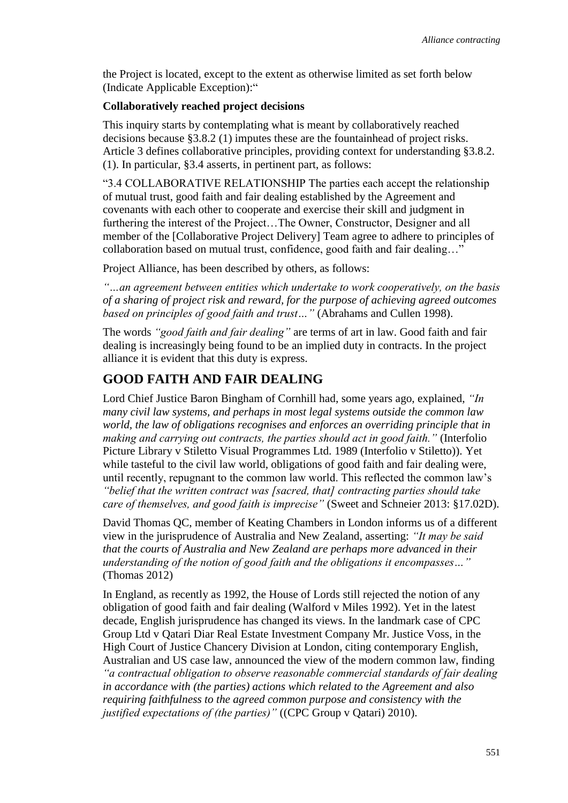the Project is located, except to the extent as otherwise limited as set forth below (Indicate Applicable Exception):"

#### **Collaboratively reached project decisions**

This inquiry starts by contemplating what is meant by collaboratively reached decisions because §3.8.2 (1) imputes these are the fountainhead of project risks. Article 3 defines collaborative principles, providing context for understanding §3.8.2. (1). In particular, §3.4 asserts, in pertinent part, as follows:

"3.4 COLLABORATIVE RELATIONSHIP The parties each accept the relationship of mutual trust, good faith and fair dealing established by the Agreement and covenants with each other to cooperate and exercise their skill and judgment in furthering the interest of the Project…The Owner, Constructor, Designer and all member of the [Collaborative Project Delivery] Team agree to adhere to principles of collaboration based on mutual trust, confidence, good faith and fair dealing…"

Project Alliance, has been described by others, as follows:

*"…an agreement between entities which undertake to work cooperatively, on the basis of a sharing of project risk and reward, for the purpose of achieving agreed outcomes based on principles of good faith and trust…"* (Abrahams and Cullen 1998).

The words *"good faith and fair dealing"* are terms of art in law. Good faith and fair dealing is increasingly being found to be an implied duty in contracts. In the project alliance it is evident that this duty is express.

### **GOOD FAITH AND FAIR DEALING**

Lord Chief Justice Baron Bingham of Cornhill had, some years ago, explained, *"In many civil law systems, and perhaps in most legal systems outside the common law world, the law of obligations recognises and enforces an overriding principle that in making and carrying out contracts, the parties should act in good faith."* (Interfolio Picture Library v Stiletto Visual Programmes Ltd. 1989 (Interfolio v Stiletto)). Yet while tasteful to the civil law world, obligations of good faith and fair dealing were, until recently, repugnant to the common law world. This reflected the common law's *"belief that the written contract was [sacred, that] contracting parties should take care of themselves, and good faith is imprecise"* (Sweet and Schneier 2013: §17.02D).

David Thomas QC, member of Keating Chambers in London informs us of a different view in the jurisprudence of Australia and New Zealand, asserting: *"It may be said that the courts of Australia and New Zealand are perhaps more advanced in their understanding of the notion of good faith and the obligations it encompasses…"* (Thomas 2012)

In England, as recently as 1992, the House of Lords still rejected the notion of any obligation of good faith and fair dealing (Walford v Miles 1992). Yet in the latest decade, English jurisprudence has changed its views. In the landmark case of CPC Group Ltd v Qatari Diar Real Estate Investment Company Mr. Justice Voss, in the High Court of Justice Chancery Division at London, citing contemporary English, Australian and US case law, announced the view of the modern common law, finding *"a contractual obligation to observe reasonable commercial standards of fair dealing in accordance with (the parties) actions which related to the Agreement and also requiring faithfulness to the agreed common purpose and consistency with the justified expectations of (the parties)"* ((CPC Group v Qatari) 2010).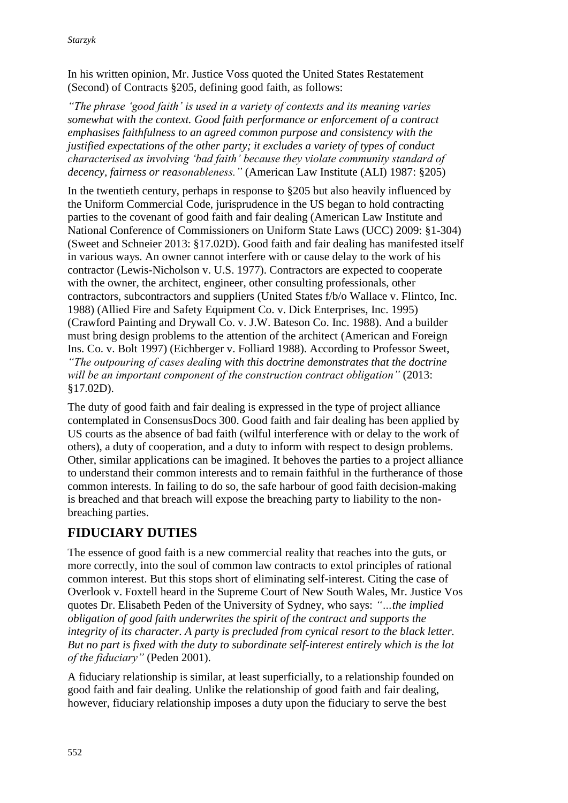In his written opinion, Mr. Justice Voss quoted the United States Restatement (Second) of Contracts §205, defining good faith, as follows:

*"The phrase 'good faith' is used in a variety of contexts and its meaning varies somewhat with the context. Good faith performance or enforcement of a contract emphasises faithfulness to an agreed common purpose and consistency with the justified expectations of the other party; it excludes a variety of types of conduct characterised as involving 'bad faith' because they violate community standard of decency, fairness or reasonableness."* (American Law Institute (ALI) 1987: §205)

In the twentieth century, perhaps in response to §205 but also heavily influenced by the Uniform Commercial Code, jurisprudence in the US began to hold contracting parties to the covenant of good faith and fair dealing (American Law Institute and National Conference of Commissioners on Uniform State Laws (UCC) 2009: §1-304) (Sweet and Schneier 2013: §17.02D). Good faith and fair dealing has manifested itself in various ways. An owner cannot interfere with or cause delay to the work of his contractor (Lewis-Nicholson v. U.S. 1977). Contractors are expected to cooperate with the owner, the architect, engineer, other consulting professionals, other contractors, subcontractors and suppliers (United States f/b/o Wallace v. Flintco, Inc. 1988) (Allied Fire and Safety Equipment Co. v. Dick Enterprises, Inc. 1995) (Crawford Painting and Drywall Co. v. J.W. Bateson Co. Inc. 1988). And a builder must bring design problems to the attention of the architect (American and Foreign Ins. Co. v. Bolt 1997) (Eichberger v. Folliard 1988). According to Professor Sweet, *"The outpouring of cases dealing with this doctrine demonstrates that the doctrine will be an important component of the construction contract obligation"* (2013: §17.02D).

The duty of good faith and fair dealing is expressed in the type of project alliance contemplated in ConsensusDocs 300. Good faith and fair dealing has been applied by US courts as the absence of bad faith (wilful interference with or delay to the work of others), a duty of cooperation, and a duty to inform with respect to design problems. Other, similar applications can be imagined. It behoves the parties to a project alliance to understand their common interests and to remain faithful in the furtherance of those common interests. In failing to do so, the safe harbour of good faith decision-making is breached and that breach will expose the breaching party to liability to the nonbreaching parties.

### **FIDUCIARY DUTIES**

The essence of good faith is a new commercial reality that reaches into the guts, or more correctly, into the soul of common law contracts to extol principles of rational common interest. But this stops short of eliminating self-interest. Citing the case of Overlook v. Foxtell heard in the Supreme Court of New South Wales, Mr. Justice Vos quotes Dr. Elisabeth Peden of the University of Sydney, who says: *"…the implied obligation of good faith underwrites the spirit of the contract and supports the integrity of its character. A party is precluded from cynical resort to the black letter. But no part is fixed with the duty to subordinate self-interest entirely which is the lot of the fiduciary"* (Peden 2001).

A fiduciary relationship is similar, at least superficially, to a relationship founded on good faith and fair dealing. Unlike the relationship of good faith and fair dealing, however, fiduciary relationship imposes a duty upon the fiduciary to serve the best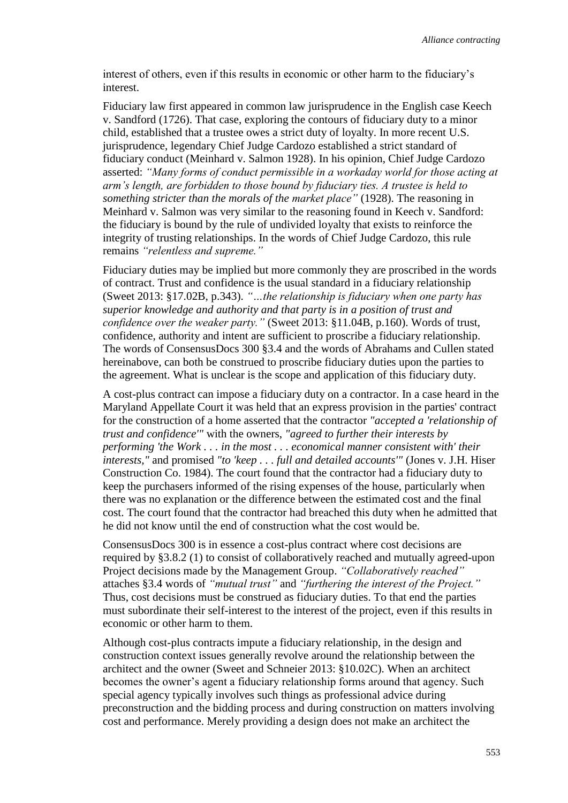interest of others, even if this results in economic or other harm to the fiduciary's interest.

Fiduciary law first appeared in common law jurisprudence in the English case Keech v. Sandford (1726). That case, exploring the contours of fiduciary duty to a minor child, established that a trustee owes a strict duty of loyalty. In more recent U.S. jurisprudence, legendary Chief Judge Cardozo established a strict standard of fiduciary conduct (Meinhard v. Salmon 1928). In his opinion, Chief Judge Cardozo asserted: *"Many forms of conduct permissible in a workaday world for those acting at arm's length, are forbidden to those bound by fiduciary ties. A trustee is held to something stricter than the morals of the market place"* (1928). The reasoning in Meinhard v. Salmon was very similar to the reasoning found in Keech v. Sandford: the fiduciary is bound by the rule of undivided loyalty that exists to reinforce the integrity of trusting relationships. In the words of Chief Judge Cardozo, this rule remains *"relentless and supreme."*

Fiduciary duties may be implied but more commonly they are proscribed in the words of contract. Trust and confidence is the usual standard in a fiduciary relationship (Sweet 2013: §17.02B, p.343). *"…the relationship is fiduciary when one party has superior knowledge and authority and that party is in a position of trust and confidence over the weaker party."* (Sweet 2013: §11.04B, p.160). Words of trust, confidence, authority and intent are sufficient to proscribe a fiduciary relationship. The words of ConsensusDocs 300 §3.4 and the words of Abrahams and Cullen stated hereinabove, can both be construed to proscribe fiduciary duties upon the parties to the agreement. What is unclear is the scope and application of this fiduciary duty.

A cost-plus contract can impose a fiduciary duty on a contractor. In a case heard in the Maryland Appellate Court it was held that an express provision in the parties' contract for the construction of a home asserted that the contractor *"accepted a 'relationship of trust and confidence'"* with the owners, *"agreed to further their interests by performing 'the Work . . . in the most . . . economical manner consistent with' their interests,"* and promised *"to 'keep . . . full and detailed accounts'"* (Jones v. J.H. Hiser Construction Co. 1984). The court found that the contractor had a fiduciary duty to keep the purchasers informed of the rising expenses of the house, particularly when there was no explanation or the difference between the estimated cost and the final cost. The court found that the contractor had breached this duty when he admitted that he did not know until the end of construction what the cost would be.

ConsensusDocs 300 is in essence a cost-plus contract where cost decisions are required by §3.8.2 (1) to consist of collaboratively reached and mutually agreed-upon Project decisions made by the Management Group. *"Collaboratively reached"* attaches §3.4 words of *"mutual trust"* and *"furthering the interest of the Project."* Thus, cost decisions must be construed as fiduciary duties. To that end the parties must subordinate their self-interest to the interest of the project, even if this results in economic or other harm to them.

Although cost-plus contracts impute a fiduciary relationship, in the design and construction context issues generally revolve around the relationship between the architect and the owner (Sweet and Schneier 2013: §10.02C). When an architect becomes the owner's agent a fiduciary relationship forms around that agency. Such special agency typically involves such things as professional advice during preconstruction and the bidding process and during construction on matters involving cost and performance. Merely providing a design does not make an architect the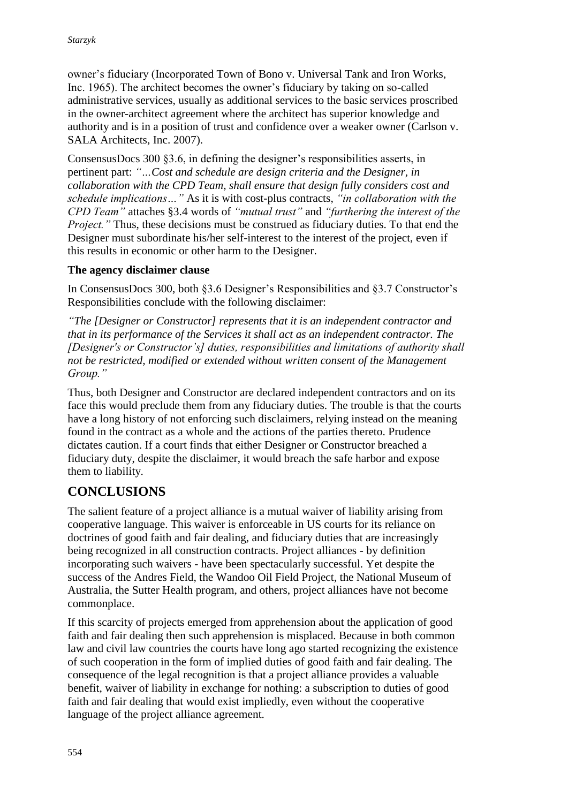owner's fiduciary (Incorporated Town of Bono v. Universal Tank and Iron Works, Inc. 1965). The architect becomes the owner's fiduciary by taking on so-called administrative services, usually as additional services to the basic services proscribed in the owner-architect agreement where the architect has superior knowledge and authority and is in a position of trust and confidence over a weaker owner (Carlson v. SALA Architects, Inc. 2007).

ConsensusDocs 300 §3.6, in defining the designer's responsibilities asserts, in pertinent part: *"…Cost and schedule are design criteria and the Designer, in collaboration with the CPD Team, shall ensure that design fully considers cost and schedule implications…"* As it is with cost-plus contracts, *"in collaboration with the CPD Team"* attaches §3.4 words of *"mutual trust"* and *"furthering the interest of the Project.*" Thus, these decisions must be construed as fiduciary duties. To that end the Designer must subordinate his/her self-interest to the interest of the project, even if this results in economic or other harm to the Designer.

### **The agency disclaimer clause**

In ConsensusDocs 300, both §3.6 Designer's Responsibilities and §3.7 Constructor's Responsibilities conclude with the following disclaimer:

*"The [Designer or Constructor] represents that it is an independent contractor and that in its performance of the Services it shall act as an independent contractor. The [Designer's or Constructor's] duties, responsibilities and limitations of authority shall not be restricted, modified or extended without written consent of the Management Group."*

Thus, both Designer and Constructor are declared independent contractors and on its face this would preclude them from any fiduciary duties. The trouble is that the courts have a long history of not enforcing such disclaimers, relying instead on the meaning found in the contract as a whole and the actions of the parties thereto. Prudence dictates caution. If a court finds that either Designer or Constructor breached a fiduciary duty, despite the disclaimer, it would breach the safe harbor and expose them to liability.

# **CONCLUSIONS**

The salient feature of a project alliance is a mutual waiver of liability arising from cooperative language. This waiver is enforceable in US courts for its reliance on doctrines of good faith and fair dealing, and fiduciary duties that are increasingly being recognized in all construction contracts. Project alliances - by definition incorporating such waivers - have been spectacularly successful. Yet despite the success of the Andres Field, the Wandoo Oil Field Project, the National Museum of Australia, the Sutter Health program, and others, project alliances have not become commonplace.

If this scarcity of projects emerged from apprehension about the application of good faith and fair dealing then such apprehension is misplaced. Because in both common law and civil law countries the courts have long ago started recognizing the existence of such cooperation in the form of implied duties of good faith and fair dealing. The consequence of the legal recognition is that a project alliance provides a valuable benefit, waiver of liability in exchange for nothing: a subscription to duties of good faith and fair dealing that would exist impliedly, even without the cooperative language of the project alliance agreement.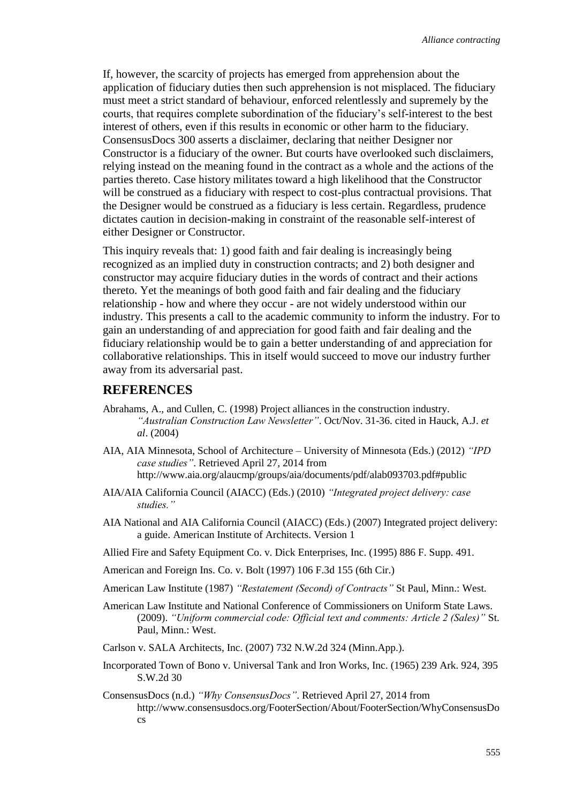If, however, the scarcity of projects has emerged from apprehension about the application of fiduciary duties then such apprehension is not misplaced. The fiduciary must meet a strict standard of behaviour, enforced relentlessly and supremely by the courts, that requires complete subordination of the fiduciary's self-interest to the best interest of others, even if this results in economic or other harm to the fiduciary. ConsensusDocs 300 asserts a disclaimer, declaring that neither Designer nor Constructor is a fiduciary of the owner. But courts have overlooked such disclaimers, relying instead on the meaning found in the contract as a whole and the actions of the parties thereto. Case history militates toward a high likelihood that the Constructor will be construed as a fiduciary with respect to cost-plus contractual provisions. That the Designer would be construed as a fiduciary is less certain. Regardless, prudence dictates caution in decision-making in constraint of the reasonable self-interest of either Designer or Constructor.

This inquiry reveals that: 1) good faith and fair dealing is increasingly being recognized as an implied duty in construction contracts; and 2) both designer and constructor may acquire fiduciary duties in the words of contract and their actions thereto. Yet the meanings of both good faith and fair dealing and the fiduciary relationship - how and where they occur - are not widely understood within our industry. This presents a call to the academic community to inform the industry. For to gain an understanding of and appreciation for good faith and fair dealing and the fiduciary relationship would be to gain a better understanding of and appreciation for collaborative relationships. This in itself would succeed to move our industry further away from its adversarial past.

#### **REFERENCES**

- Abrahams, A., and Cullen, C. (1998) Project alliances in the construction industry. *"Australian Construction Law Newsletter"*. Oct/Nov. 31-36. cited in Hauck, A.J. *et al*. (2004)
- AIA, AIA Minnesota, School of Architecture University of Minnesota (Eds.) (2012) *"IPD case studies"*. Retrieved April 27, 2014 from <http://www.aia.org/alaucmp/groups/aia/documents/pdf/alab093703.pdf#public>
- AIA/AIA California Council (AIACC) (Eds.) (2010) *"Integrated project delivery: case studies."*
- AIA National and AIA California Council (AIACC) (Eds.) (2007) Integrated project delivery: a guide. American Institute of Architects. Version 1
- Allied Fire and Safety Equipment Co. v. Dick Enterprises, Inc. (1995) 886 F. Supp. 491.
- American and Foreign Ins. Co. v. Bolt (1997) 106 F.3d 155 (6th Cir.)
- American Law Institute (1987) *"Restatement (Second) of Contracts"* St Paul, Minn.: West.
- American Law Institute and National Conference of Commissioners on Uniform State Laws. (2009). *"Uniform commercial code: Official text and comments: Article 2 (Sales)"* St. Paul, Minn.: West.
- Carlson v. SALA Architects, Inc. (2007) 732 N.W.2d 324 (Minn.App.).
- Incorporated Town of Bono v. Universal Tank and Iron Works, Inc. (1965) 239 Ark. 924, 395 S.W.2d 30
- ConsensusDocs (n.d.) *"Why ConsensusDocs"*. Retrieved April 27, 2014 from [http://www.consensusdocs.org/FooterSection/About/FooterSection/WhyConsensusDo](http://www.consensusdocs.org/FooterSection/About/FooterSection/WhyConsensusDocs) [cs](http://www.consensusdocs.org/FooterSection/About/FooterSection/WhyConsensusDocs)